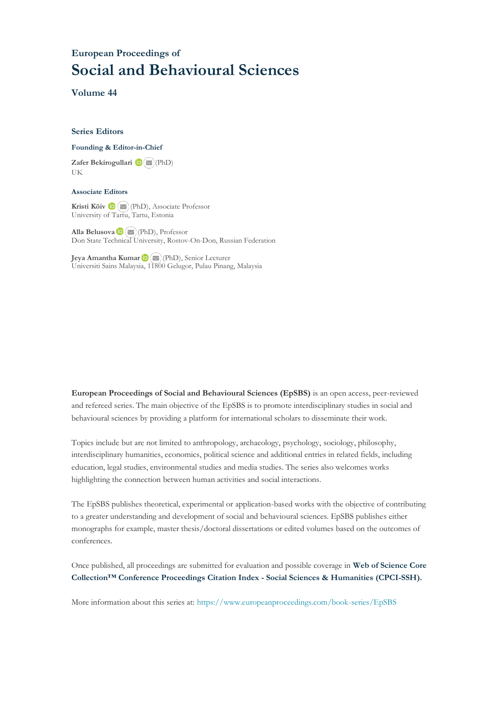## **European Proceedings of Social and Behavioural Sciences**

**Volume 44**

#### **Series Editors**

#### **Founding & Editor-in-Chief**

**Zafer Bekirogullari**(PhD) UK

#### **Associate Editors**

**Kristi Köiv** (PhD), Associate Professor University of Tartu, Tartu, Estonia

**Alla Belusova**(PhD), Professor Don State Technical University, Rostov-On-Don, Russian Federation

**Jeya Amantha Kumar**(PhD), Senior Lecturer Universiti Sains Malaysia, [1180](mailto:amantha@usm.my)0 Gelugor, Pulau Pinang, Malaysia

**European Proceedings of Social and Behavioural Sciences (EpSBS)** is an open access, peer-reviewed and refereed series. The main objective of the EpSBS is to promote interdisciplinary studies in social and behavioural sciences by providing a platform for international scholars to disseminate their work.

Topics include but are not limited to anthropology, archaeology, psychology, sociology, philosophy, interdisciplinary humanities, economics, political science and additional entries in related fields, including education, legal studies, environmental studies and media studies. The series also welcomes works highlighting the connection between human activities and social interactions.

The EpSBS publishes theoretical, experimental or application-based works with the objective of contributing to a greater understanding and development of social and behavioural sciences. EpSBS publishes either monographs for example, master thesis/doctoral dissertations or edited volumes based on the outcomes of conferences.

Once published, all proceedings are submitted for evaluation and possible coverage in **Web of [Science](https://clarivate.com/webofsciencegroup/solutions/webofscience-cpci/) Core Collection™ Conference Proceedings Citation Index - Social Sciences & Humanities [\(CPCI-SSH\).](https://clarivate.com/webofsciencegroup/solutions/webofscience-cpci/)**

More information about this series at[: https://www.europeanproceedings.com/book-series/EpSBS](https://www.europeanproceedings.com/book-series/EpSBS)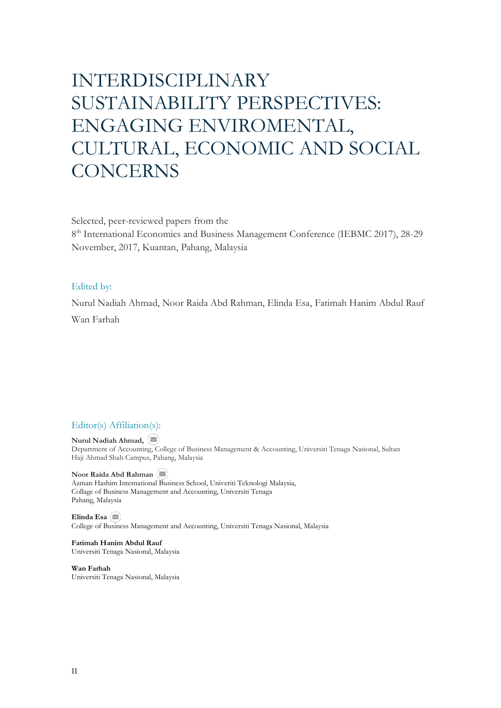# INTERDISCIPLINARY SUSTAINABILITY PERSPECTIVES: ENGAGING ENVIROMENTAL, CULTURAL, ECONOMIC AND SOCIAL **CONCERNS**

Selected, peer-reviewed papers from the

8<sup>th</sup> International Economics and Business Management Conference (IEBMC 2017), 28-29 November, 2017, Kuantan, Pahang, Malaysia

## Edited by:

Nurul Nadiah Ahmad, Noor Raida Abd Rahman, Elinda Esa, Fatimah Hanim Abdul Rauf Wan Farhah

## Editor(s) Affiliation(s):

**Nurul Nadiah Ahmad,**  Department of Accounting, College of Business Management & Accounting, Universiti Tenaga Nasional, Sultan Haji Ahmad Shah Campus, Pahang, Malaysia

**Noor Raida Abd Rahman** Azman Hashim Internationa[l Bus](mailto:norraida@uniten.edu.my)iness School, Univeriti Teknologi Malaysia, Collage of Business Management and Accounting, Universiti Tenaga Pahang, Malaysia

**Elinda Esa** College of B[usine](mailto:Elinda@uniten.edu.my)ss Management and Accounting, Universiti Tenaga Nasional, Malaysia

**Fatimah Hanim Abdul Rauf** Universiti Tenaga Nasional, Malaysia

**Wan Farhah** Universiti Tenaga Nasional, Malaysia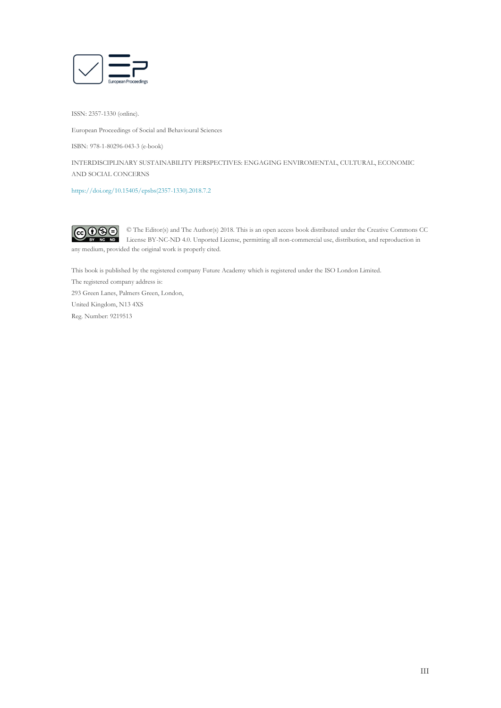

ISSN: 2357-1330 (online).

European Proceedings of Social and Behavioural Sciences

ISBN: 978-1-80296-043-3 (e-book)

INTERDISCIPLINARY SUSTAINABILITY PERSPECTIVES: ENGAGING ENVIROMENTAL, CULTURAL, ECONOMIC AND SOCIAL CONCERNS

[https://doi.org/10.15405/epsbs\(2357-1330\).2018.7.2](https://doi.org/10.15405/epsbs(2357-1330).2018.7.2) 



any medium, provided the original work is properly cited.

This book is published by the registered company Future Academy which is registered under the ISO London Limited.

The registered company address is:

293 Green Lanes, Palmers Green, London, United Kingdom, N13 4XS Reg. Number: 9219513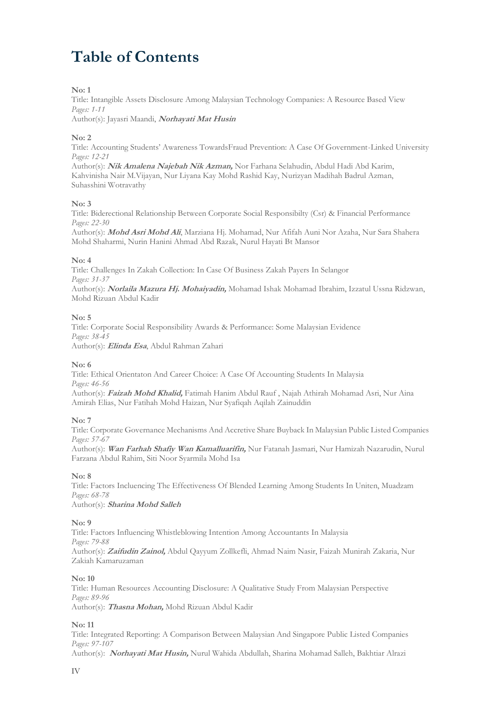## **Table of Contents**

## **No: 1**

Title: Intangible Assets Disclosure Among Malaysian Technology Companies: A Resource Based View *Pages: 1-11*

Author(s): Jayasri Maandi, **Norhayati Mat Husin**

## **No: 2**

Title: Accounting Students' Awareness TowardsFraud Prevention: A Case Of Government-Linked University *Pages: 12-21*

Author(s): **Nik Amalena Najebah Nik Azman,** Nor Farhana Selahudin, Abdul Hadi Abd Karim, Kahvinisha Nair M.Vijayan, Nur Liyana Kay Mohd Rashid Kay, Nurizyan Madihah Badrul Azman, Suhasshini Wotravathy

## **No: 3**

Title: Biderectional Relationship Between Corporate Social Responsibilty (Csr) & Financial Performance *Pages: 22-30*

Author(s): **Mohd Asri Mohd Ali**, Marziana Hj. Mohamad, Nur Afifah Auni Nor Azaha, Nur Sara Shahera Mohd Shaharmi, Nurin Hanini Ahmad Abd Razak, Nurul Hayati Bt Mansor

## **No: 4**

Title: Challenges In Zakah Collection: In Case Of Business Zakah Payers In Selangor *Pages: 31-37*

Author(s): **Norlaila Mazura Hj. Mohaiyadin,** Mohamad Ishak Mohamad Ibrahim, Izzatul Ussna Ridzwan, Mohd Rizuan Abdul Kadir

## **No: 5**

Title: Corporate Social Responsibility Awards & Performance: Some Malaysian Evidence *Pages: 38-45* Author(s): **Elinda Esa**, Abdul Rahman Zahari

## **No: 6**

Title: Ethical Orientaton And Career Choice: A Case Of Accounting Students In Malaysia *Pages: 46-56*

Author(s): **Faizah Mohd Khalid,** Fatimah Hanim Abdul Rauf , Najah Athirah Mohamad Asri, Nur Aina Amirah Elias, Nur Fatihah Mohd Haizan, Nur Syafiqah Aqilah Zainuddin

## **No: 7**

Title: Corporate Governance Mechanisms And Accretive Share Buyback In Malaysian Public Listed Companies *Pages: 57-67*

Author(s): **Wan Farhah Shafiy Wan Kamalluarifin,** Nur Fatanah Jasmari, Nur Hamizah Nazarudin, Nurul Farzana Abdul Rahim, Siti Noor Syarmila Mohd Isa

## **No: 8**

Title: Factors Incluencing The Effectiveness Of Blended Learning Among Students In Uniten, Muadzam *Pages: 68-78*

Author(s): **Sharina Mohd Salleh**

## **No: 9**

Title: Factors Influencing Whistleblowing Intention Among Accountants In Malaysia *Pages: 79-88* Author(s): **Zaifudin Zainol,** Abdul Qayyum Zollkefli, Ahmad Naim Nasir, Faizah Munirah Zakaria, Nur Zakiah Kamaruzaman

## **No: 10**

Title: Human Resources Accounting Disclosure: A Qualitative Study From Malaysian Perspective *Pages: 89-96* Author(s): **Thasna Mohan,** Mohd Rizuan Abdul Kadir

## **No: 11**

Title: Integrated Reporting: A Comparison Between Malaysian And Singapore Public Listed Companies *Pages: 97-107*

Author(s): **Norhayati Mat Husin,** Nurul Wahida Abdullah, Sharina Mohamad Salleh, Bakhtiar Alrazi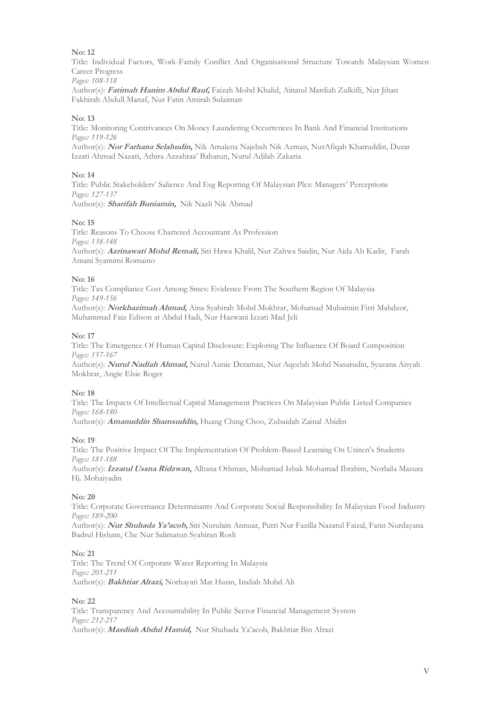Title: Individual Factors, Work-Family Conflict And Organisational Structure Towards Malaysian Women Career Progress

*Pages: 108-118*

Author(s): **Fatimah Hanim Abdul Rauf,** Faizah Mohd Khalid, Ainatul Mardiah Zulkifli, Nur Jihan Fakhirah Abdull Manaf, Nur Fatin Amirah Sulaiman

## **No: 13**

Title: Monitoring Contrivances On Money Laundering Occurrences In Bank And Financial Institutions *Pages: 119-126*

Author(s): **Nor Farhana Selahudin,** Nik Amalena Najebah Nik Azman, NurAfiqah Khairuddin, Durar Izzati Ahmad Nazari, Athira Azzahraa' Baharun, Nurul Adilah Zakaria

## **No: 14**

Title: Public Stakeholders' Salience And Esg Reporting Of Malaysian Plcs: Managers' Perceptions *Pages: 127-137* Author(s): **Sharifah Buniamin,** Nik Nazli Nik Ahmad

## **No: 15**

Title: Reasons To Choose Chartered Accountant As Profession *Pages: 138-148* Author(s): **Azrinawati Mohd Remali,** Siti Hawa Khalil, Nur Zahwa Saidin, Nur Aida Ab Kadir, Farah Amani Syamimi Romaino

## **No: 16**

Title: Tax Compliance Cost Among Smes: Evidence From The Southern Region Of Malaysia *Pages: 149-156*

Author(s): **Norkhazimah Ahmad,** Aina Syahirah Mohd Mokhtar, Mohamad Muhaimin Fitri Mahdzor, Muhammad Faiz Edison at Abdul Hadi, Nur Hazwani Izzati Mad Jeli

## **No: 17**

Title: The Emergence Of Human Capital Disclosure: Exploring The Influence Of Board Composition *Pages: 157-167*

Author(s): **Nurul Nadiah Ahmad,** Nurul Aunie Deraman, Nur Aqeelah Mohd Nasarudin, Syazana Aisyah Mokhtar, Angie Elsie Roger

## **No: 18**

Title: The Impacts Of Intellectual Capital Management Practices On Malaysian Public Listed Companies *Pages: 168-180*

Author(s): **Amanuddin Shamsuddin,** Huang Ching Choo, Zubaidah Zainal Abidin

## **No: 19**

Title: The Positive Impact Of The Implementation Of Problem-Based Learning On Uniten's Students *Pages: 181-188*

Author(s): **Izzatul Ussna Ridzwan,** Alhana Othman, Mohamad Ishak Mohamad Ibrahim, Norlaila Mazura Hj. Mohaiyadin

## **No: 20**

Title: Corporate Governance Determinants And Corporate Social Responsibility In Malaysian Food Industry *Pages: 189-200*

Author(s): **Nur Shuhada Ya'acob,** Siti Nurulain Annuar, Putri Nur Fazilla Nazatul Faizal, Fatin Nurdayana Badrul Hisham, Che Nur Salimatun Syahiran Rosli

## **No: 21**

Title: The Trend Of Corporate Water Reporting In Malaysia *Pages: 201-211* Author(s): **Bakhtiar Alrazi,** Norhayati Mat Husin, Inaliah Mohd Ali

## **No: 22**

Title: Transparency And Accountability In Public Sector Financial Management System *Pages: 212-217* Author(s): **Masdiah Abdul Hamid,** Nur Shuhada Ya'acob, Bakhtiar Bin Alrazi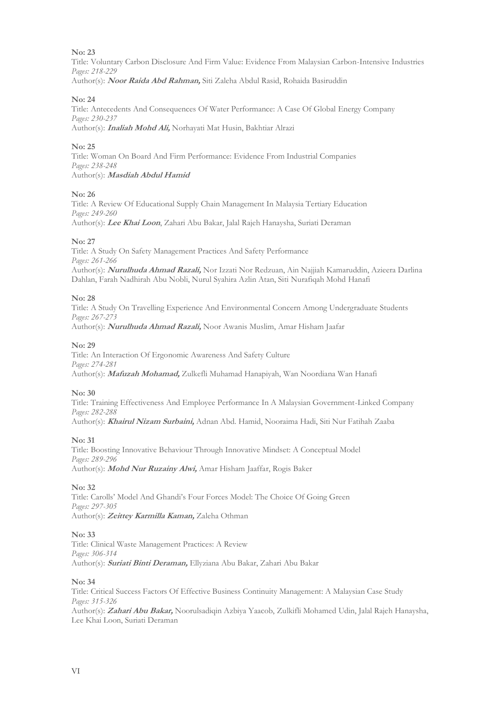Title: Voluntary Carbon Disclosure And Firm Value: Evidence From Malaysian Carbon-Intensive Industries *Pages: 218-229* Author(s): **Noor Raida Abd Rahman,** Siti Zaleha Abdul Rasid, Rohaida Basiruddin

## **No: 24**

Title: Antecedents And Consequences Of Water Performance: A Case Of Global Energy Company *Pages: 230-237* Author(s): **Inaliah Mohd Ali,** Norhayati Mat Husin, Bakhtiar Alrazi

## **No: 25**

Title: Woman On Board And Firm Performance: Evidence From Industrial Companies *Pages: 238-248* Author(s): **Masdiah Abdul Hamid**

## **No: 26**

Title: A Review Of Educational Supply Chain Management In Malaysia Tertiary Education *Pages: 249-260* Author(s): **Lee Khai Loon**, Zahari Abu Bakar, Jalal Rajeh Hanaysha, Suriati Deraman

## **No: 27**

Title: A Study On Safety Management Practices And Safety Performance *Pages: 261-266* Author(s): **Nurulhuda Ahmad Razali,** Nor Izzati Nor Redzuan, Ain Najjiah Kamaruddin, Azieera Darlina Dahlan, Farah Nadhirah Abu Nobli, Nurul Syahira Azlin Atan, Siti Nurafiqah Mohd Hanafi

## **No: 28**

Title: A Study On Travelling Experience And Environmental Concern Among Undergraduate Students *Pages: 267-273*

Author(s): **Nurulhuda Ahmad Razali,** Noor Awanis Muslim, Amar Hisham Jaafar

## **No: 29**

Title: An Interaction Of Ergonomic Awareness And Safety Culture *Pages: 274-281* Author(s): **Mafuzah Mohamad,** Zulkefli Muhamad Hanapiyah, Wan Noordiana Wan Hanafi

## **No: 30**

Title: Training Effectiveness And Employee Performance In A Malaysian Government-Linked Company *Pages: 282-288*

Author(s): **Khairul Nizam Surbaini,** Adnan Abd. Hamid, Nooraima Hadi, Siti Nur Fatihah Zaaba

## **No: 31**

Title: Boosting Innovative Behaviour Through Innovative Mindset: A Conceptual Model *Pages: 289-296* Author(s): **Mohd Nur Ruzainy Alwi,** Amar Hisham Jaaffar, Rogis Baker

## **No: 32**

Title: Carolls' Model And Ghandi's Four Forces Model: The Choice Of Going Green *Pages: 297-305* Author(s): **Zeittey Karmilla Kaman,** Zaleha Othman

## **No: 33**

Title: Clinical Waste Management Practices: A Review *Pages: 306-314* Author(s): **Suriati Binti Deraman,** Ellyziana Abu Bakar, Zahari Abu Bakar

## **No: 34**

Title: Critical Success Factors Of Effective Business Continuity Management: A Malaysian Case Study *Pages: 315-326* Author(s): **Zahari Abu Bakar,** Noorulsadiqin Azbiya Yaacob, Zulkifli Mohamed Udin, Jalal Rajeh Hanaysha, Lee Khai Loon, Suriati Deraman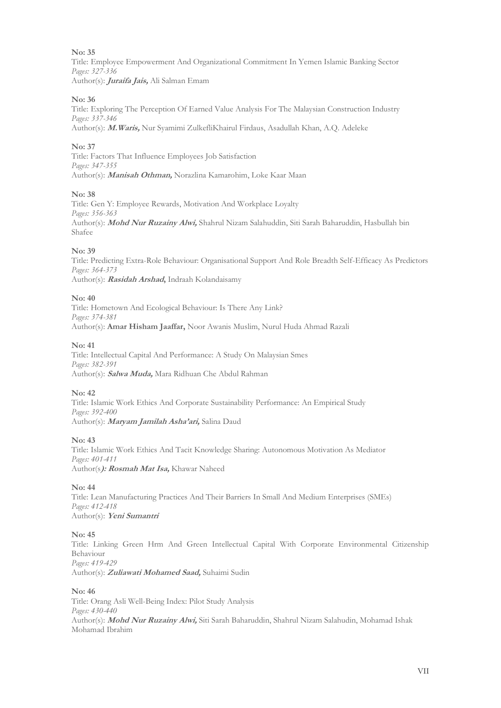Title: Employee Empowerment And Organizational Commitment In Yemen Islamic Banking Sector *Pages: 327-336* Author(s): **Juraifa Jais,** Ali Salman Emam

## **No: 36**

Title: Exploring The Perception Of Earned Value Analysis For The Malaysian Construction Industry *Pages: 337-346* Author(s): **M.Waris,** Nur Syamimi ZulkefliKhairul Firdaus, Asadullah Khan, A.Q. Adeleke

## **No: 37**

Title: Factors That Influence Employees Job Satisfaction *Pages: 347-355* Author(s): **Manisah Othman,** Norazlina Kamarohim, Loke Kaar Maan

## **No: 38**

Title: Gen Y: Employee Rewards, Motivation And Workplace Loyalty *Pages: 356-363* Author(s): **Mohd Nur Ruzainy Alwi,** Shahrul Nizam Salahuddin, Siti Sarah Baharuddin, Hasbullah bin Shafee

## **No: 39**

Title: Predicting Extra-Role Behaviour: Organisational Support And Role Breadth Self-Efficacy As Predictors *Pages: 364-373* Author(s): **Rasidah Arshad,** Indraah Kolandaisamy

## **No: 40**

Title: Hometown And Ecological Behaviour: Is There Any Link? *Pages: 374-381* Author(s): **Amar Hisham Jaaffar,** Noor Awanis Muslim, Nurul Huda Ahmad Razali

## **No: 41**

Title: Intellectual Capital And Performance: A Study On Malaysian Smes *Pages: 382-391* Author(s): **Salwa Muda,** Mara Ridhuan Che Abdul Rahman

## **No: 42**

Title: Islamic Work Ethics And Corporate Sustainability Performance: An Empirical Study *Pages: 392-400* Author(s): **Maryam Jamilah Asha'ari,** Salina Daud

## **No: 43**

Title: Islamic Work Ethics And Tacit Knowledge Sharing: Autonomous Motivation As Mediator *Pages: 401-411* Author(s**): Rosmah Mat Isa,** Khawar Naheed

## **No: 44**

Title: Lean Manufacturing Practices And Their Barriers In Small And Medium Enterprises (SMEs) *Pages: 412-418* Author(s): **Yeni Sumantri**

## **No: 45**

Title: Linking Green Hrm And Green Intellectual Capital With Corporate Environmental Citizenship Behaviour *Pages: 419-429* Author(s): **Zuliawati Mohamed Saad,** Suhaimi Sudin

## **No: 46**

Title: Orang Asli Well-Being Index: Pilot Study Analysis *Pages: 430-440* Author(s): **Mohd Nur Ruzainy Alwi,** Siti Sarah Baharuddin, Shahrul Nizam Salahudin, Mohamad Ishak Mohamad Ibrahim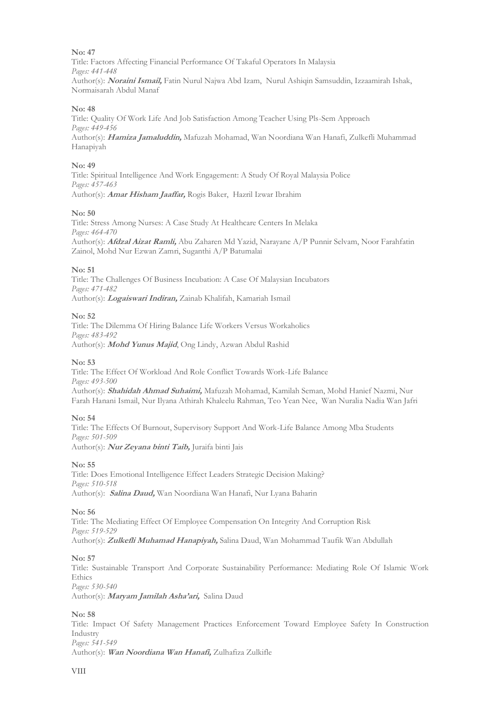Title: Factors Affecting Financial Performance Of Takaful Operators In Malaysia *Pages: 441-448* Author(s): **Noraini Ismail,** Fatin Nurul Najwa Abd Izam, Nurul Ashiqin Samsuddin, Izzaamirah Ishak, Normaisarah Abdul Manaf

## **No: 48**

Title: Quality Of Work Life And Job Satisfaction Among Teacher Using Pls-Sem Approach *Pages: 449-456* Author(s): **Hamiza Jamaluddin,** Mafuzah Mohamad, Wan Noordiana Wan Hanafi, Zulkefli Muhammad Hanapiyah

#### **No: 49**

Title: Spiritual Intelligence And Work Engagement: A Study Of Royal Malaysia Police *Pages: 457-463* Author(s): **Amar Hisham Jaaffar,** Rogis Baker, Hazril Izwar Ibrahim

#### **No: 50**

Title: Stress Among Nurses: A Case Study At Healthcare Centers In Melaka *Pages: 464-470* Author(s): **Afdzal Aizat Ramli,** Abu Zaharen Md Yazid, Narayane A/P Punnir Selvam, Noor Farahfatin Zainol, Mohd Nur Ezwan Zamri, Suganthi A/P Batumalai

#### **No: 51**

Title: The Challenges Of Business Incubation: A Case Of Malaysian Incubators *Pages: 471-482* Author(s): **Logaiswari Indiran,** Zainab Khalifah, Kamariah Ismail

#### **No: 52**

Title: The Dilemma Of Hiring Balance Life Workers Versus Workaholics *Pages: 483-492* Author(s): **Mohd Yunus Majid**, Ong Lindy, Azwan Abdul Rashid

#### **No: 53**

Title: The Effect Of Workload And Role Conflict Towards Work-Life Balance *Pages: 493-500* Author(s): **Shahidah Ahmad Suhaimi,** Mafuzah Mohamad, Kamilah Seman, Mohd Hanief Nazmi, Nur Farah Hanani Ismail, Nur Ilyana Athirah Khaleelu Rahman, Teo Yean Nee, Wan Nuralia Nadia Wan Jafri

#### **No: 54**

Title: The Effects Of Burnout, Supervisory Support And Work-Life Balance Among Mba Students *Pages: 501-509* Author(s): **Nur Zeyana binti Taib,** Juraifa binti Jais

#### **No: 55**

Title: Does Emotional Intelligence Effect Leaders Strategic Decision Making? *Pages: 510-518* Author(s): **Salina Daud,** Wan Noordiana Wan Hanafi, Nur Lyana Baharin

#### **No: 56**

Title: The Mediating Effect Of Employee Compensation On Integrity And Corruption Risk *Pages: 519-529* Author(s): **Zulkefli Muhamad Hanapiyah,** Salina Daud, Wan Mohammad Taufik Wan Abdullah

## **No: 57**

Title: Sustainable Transport And Corporate Sustainability Performance: Mediating Role Of Islamic Work **Ethics** *Pages: 530-540*

Author(s): **Maryam Jamilah Asha'ari,** Salina Daud

## **No: 58**

Title: Impact Of Safety Management Practices Enforcement Toward Employee Safety In Construction Industry *Pages: 541-549*

Author(s): **Wan Noordiana Wan Hanafi,** Zulhafiza Zulkifle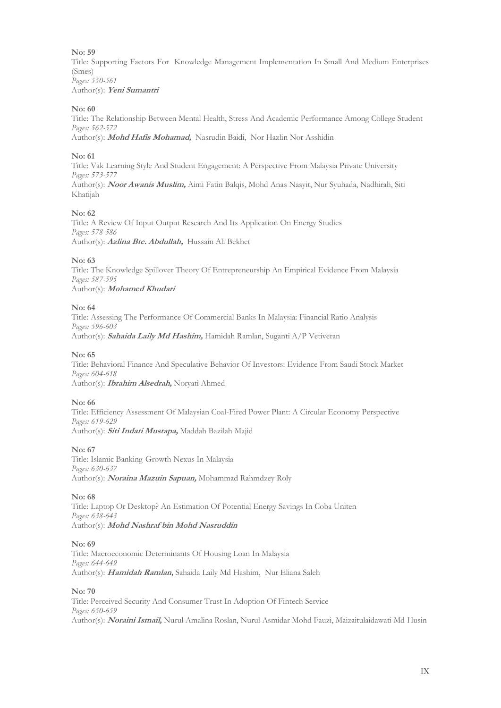Title: Supporting Factors For Knowledge Management Implementation In Small And Medium Enterprises (Smes) *Pages: 550-561* Author(s): **Yeni Sumantri**

## **No: 60**

Title: The Relationship Between Mental Health, Stress And Academic Performance Among College Student *Pages: 562-572* Author(s): **Mohd Hafis Mohamad,** Nasrudin Baidi, Nor Hazlin Nor Asshidin

## **No: 61**

Title: Vak Learning Style And Student Engagement: A Perspective From Malaysia Private University *Pages: 573-577* Author(s): **Noor Awanis Muslim,** Aimi Fatin Balqis, Mohd Anas Nasyit, Nur Syuhada, Nadhirah, Siti Khatijah

## **No: 62**

Title: A Review Of Input Output Research And Its Application On Energy Studies *Pages: 578-586* Author(s): **Azlina Bte. Abdullah,** Hussain Ali Bekhet

## **No: 63**

Title: The Knowledge Spillover Theory Of Entrepreneurship An Empirical Evidence From Malaysia *Pages: 587-595* Author(s): **Mohamed Khudari**

## **No: 64**

Title: Assessing The Performance Of Commercial Banks In Malaysia: Financial Ratio Analysis *Pages: 596-603* Author(s): **Sahaida Laily Md Hashim,** Hamidah Ramlan, Suganti A/P Vetiveran

## **No: 65**

Title: Behavioral Finance And Speculative Behavior Of Investors: Evidence From Saudi Stock Market *Pages: 604-618* Author(s): **Ibrahim Alsedrah,** Noryati Ahmed

## **No: 66**

Title: Efficiency Assessment Of Malaysian Coal-Fired Power Plant: A Circular Economy Perspective *Pages: 619-629* Author(s): **Siti Indati Mustapa,** Maddah Bazilah Majid

## **No: 67**

Title: Islamic Banking-Growth Nexus In Malaysia *Pages: 630-637* Author(s): **Noraina Mazuin Sapuan,** Mohammad Rahmdzey Roly

## **No: 68**

Title: Laptop Or Desktop? An Estimation Of Potential Energy Savings In Coba Uniten *Pages: 638-643* Author(s): **Mohd Nashraf bin Mohd Nasruddin**

## **No: 69**

Title: Macroeconomic Determinants Of Housing Loan In Malaysia *Pages: 644-649* Author(s): **Hamidah Ramlan,** Sahaida Laily Md Hashim, Nur Eliana Saleh

## **No: 70**

Title: Perceived Security And Consumer Trust In Adoption Of Fintech Service *Pages: 650-659* Author(s): **Noraini Ismail,** Nurul Amalina Roslan, Nurul Asmidar Mohd Fauzi, Maizaitulaidawati Md Husin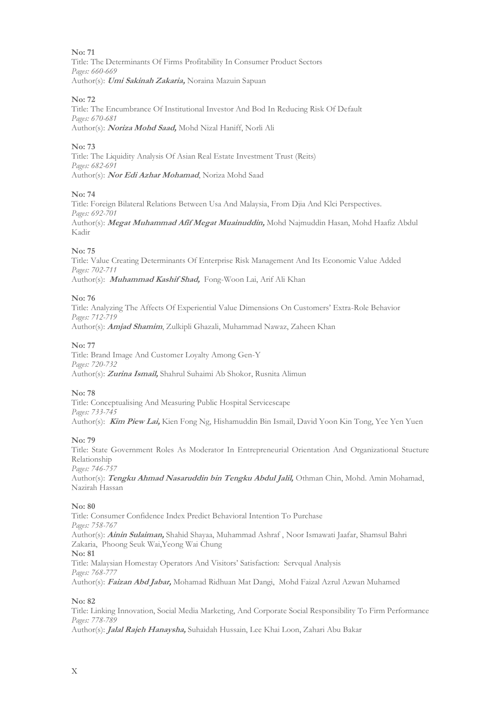Title: The Determinants Of Firms Profitability In Consumer Product Sectors *Pages: 660-669* Author(s): **Umi Sakinah Zakaria,** Noraina Mazuin Sapuan

## **No: 72**

Title: The Encumbrance Of Institutional Investor And Bod In Reducing Risk Of Default *Pages: 670-681* Author(s): **Noriza Mohd Saad,** Mohd Nizal Haniff, Norli Ali

## **No: 73**

Title: The Liquidity Analysis Of Asian Real Estate Investment Trust (Reits) *Pages: 682-691* Author(s): **Nor Edi Azhar Mohamad**, Noriza Mohd Saad

## **No: 74**

Title: Foreign Bilateral Relations Between Usa And Malaysia, From Djia And Klci Perspectives. *Pages: 692-701* Author(s): **Megat Muhammad Afif Megat Muainuddin,** Mohd Najmuddin Hasan, Mohd Haafiz Abdul Kadir

## **No: 75**

Title: Value Creating Determinants Of Enterprise Risk Management And Its Economic Value Added *Pages: 702-711* Author(s): **Muhammad Kashif Shad,** Fong-Woon Lai, Arif Ali Khan

## **No: 76**

Title: Analyzing The Affects Of Experiential Value Dimensions On Customers' Extra-Role Behavior *Pages: 712-719* Author(s): **Amjad Shamim**, Zulkipli Ghazali, Muhammad Nawaz, Zaheen Khan

## **No: 77**

Title: Brand Image And Customer Loyalty Among Gen-Y *Pages: 720-732* Author(s): **Zurina Ismail,** Shahrul Suhaimi Ab Shokor, Rusnita Alimun

## **No: 78**

Title: Conceptualising And Measuring Public Hospital Servicescape *Pages: 733-745* Author(s): **Kim Piew Lai,** Kien Fong Ng, Hishamuddin Bin Ismail, David Yoon Kin Tong, Yee Yen Yuen

## **No: 79**

Title: State Government Roles As Moderator In Entrepreneurial Orientation And Organizational Stucture Relationship *Pages: 746-757* Author(s): **Tengku Ahmad Nasaruddin bin Tengku Abdul Jalil,** Othman Chin, Mohd. Amin Mohamad, Nazirah Hassan

## **No: 80**

Title: Consumer Confidence Index Predict Behavioral Intention To Purchase *Pages: 758-767* Author(s): **Ainin Sulaiman,** Shahid Shayaa, Muhammad Ashraf , Noor Ismawati Jaafar, Shamsul Bahri Zakaria, Phoong Seuk Wai,Yeong Wai Chung **No: 81** Title: Malaysian Homestay Operators And Visitors' Satisfaction: Servqual Analysis *Pages: 768-777* Author(s): **Faizan Abd Jabar,** Mohamad Ridhuan Mat Dangi, Mohd Faizal Azrul Azwan Muhamed

## **No: 82**

Title: Linking Innovation, Social Media Marketing, And Corporate Social Responsibility To Firm Performance *Pages: 778-789*

Author(s): **Jalal Rajeh Hanaysha,** Suhaidah Hussain, Lee Khai Loon, Zahari Abu Bakar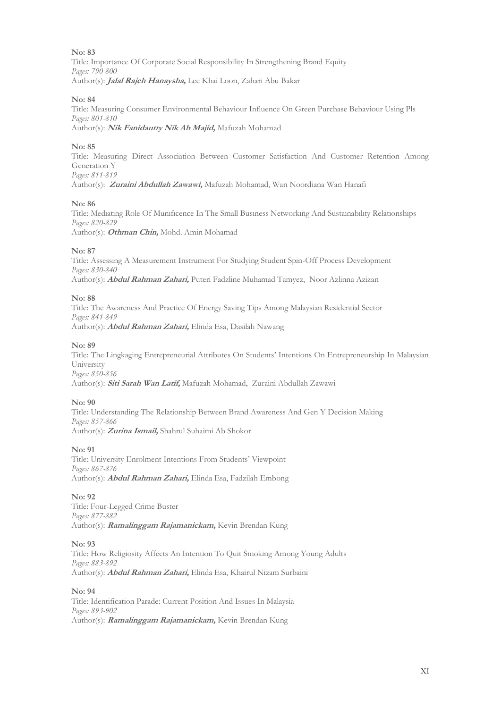Title: Importance Of Corporate Social Responsibility In Strengthening Brand Equity *Pages: 790-800* Author(s): **Jalal Rajeh Hanaysha,** Lee Khai Loon, Zahari Abu Bakar

## **No: 84**

Title: Measuring Consumer Environmental Behaviour Influence On Green Purchase Behaviour Using Pls *Pages: 801-810* Author(s): **Nik Fanidautty Nik Ab Majid,** Mafuzah Mohamad

## **No: 85**

Title: Measuring Direct Association Between Customer Satisfaction And Customer Retention Among Generation Y *Pages: 811-819*

Author(s): **Zuraini Abdullah Zawawi,** Mafuzah Mohamad, Wan Noordiana Wan Hanafi

#### **No: 86**

Title: Medıatıng Role Of Munıfıcence In The Small Busıness Networkıng And Sustaınabılıty Relatıonshıps *Pages: 820-829* Author(s): **Othman Chin,** Mohd. Amin Mohamad

#### **No: 87**

Title: Assessing A Measurement Instrument For Studying Student Spin-Off Process Development *Pages: 830-840* Author(s): **Abdul Rahman Zahari,** Puteri Fadzline Muhamad Tamyez, Noor Azlinna Azizan

## **No: 88**

Title: The Awareness And Practice Of Energy Saving Tips Among Malaysian Residential Sector *Pages: 841-849* Author(s): **Abdul Rahman Zahari,** Elinda Esa, Dasilah Nawang

#### **No: 89**

Title: The Lingkaging Entrepreneurial Attributes On Students' Intentions On Entrepreneurship In Malaysian University *Pages: 850-856* Author(s): **Siti Sarah Wan Latif,** Mafuzah Mohamad, Zuraini Abdullah Zawawi

## **No: 90**

Title: Understanding The Relationship Between Brand Awareness And Gen Y Decision Making *Pages: 857-866* Author(s): **Zurina Ismail,** Shahrul Suhaimi Ab Shokor

## **No: 91**

Title: University Enrolment Intentions From Students' Viewpoint *Pages: 867-876* Author(s): **Abdul Rahman Zahari,** Elinda Esa, Fadzilah Embong

#### **No: 92**

Title: Four-Legged Crime Buster *Pages: 877-882* Author(s): **Ramalinggam Rajamanickam,** Kevin Brendan Kung

#### **No: 93**

Title: How Religiosity Affects An Intention To Quit Smoking Among Young Adults *Pages: 883-892* Author(s): **Abdul Rahman Zahari,** Elinda Esa, Khairul Nizam Surbaini

#### **No: 94**

Title: Identification Parade: Current Position And Issues In Malaysia *Pages: 893-902* Author(s): **Ramalinggam Rajamanickam,** Kevin Brendan Kung